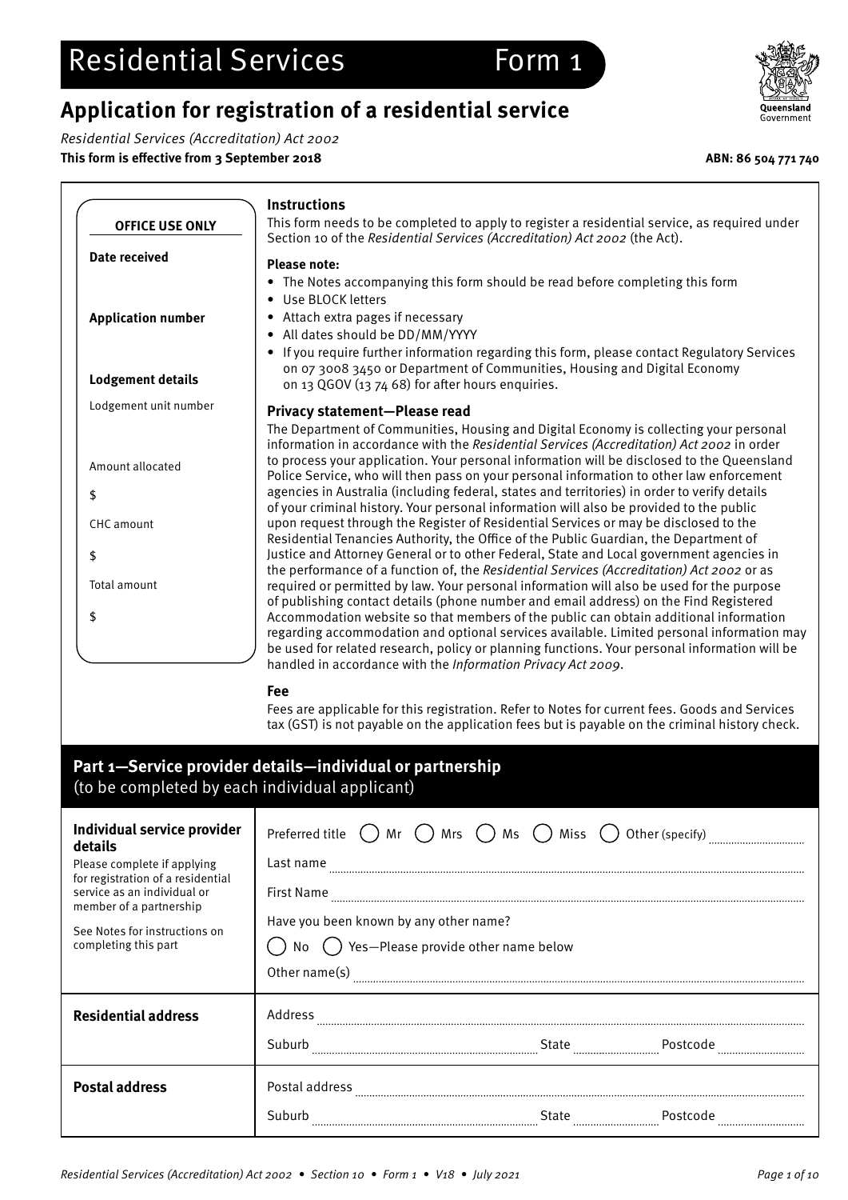## **Application for registration of a residential service**

Residential Services (Accreditation) Act 2002

**This form is effective from 3 September 2018 ABN: 86 504 771 740**

![](_page_0_Picture_4.jpeg)

|                           | <b>Instructions</b>                                                                                                                                                                                                                                                                                                                                                                                                                          |
|---------------------------|----------------------------------------------------------------------------------------------------------------------------------------------------------------------------------------------------------------------------------------------------------------------------------------------------------------------------------------------------------------------------------------------------------------------------------------------|
| <b>OFFICE USE ONLY</b>    | This form needs to be completed to apply to register a residential service, as required under<br>Section 10 of the Residential Services (Accreditation) Act 2002 (the Act).                                                                                                                                                                                                                                                                  |
| Date received             | <b>Please note:</b>                                                                                                                                                                                                                                                                                                                                                                                                                          |
|                           | The Notes accompanying this form should be read before completing this form<br>$\bullet$<br>Use BLOCK letters<br>$\bullet$                                                                                                                                                                                                                                                                                                                   |
| <b>Application number</b> | Attach extra pages if necessary<br>$\bullet$<br>All dates should be DD/MM/YYYY<br>$\bullet$                                                                                                                                                                                                                                                                                                                                                  |
| <b>Lodgement details</b>  | If you require further information regarding this form, please contact Regulatory Services<br>$\bullet$<br>on 07 3008 3450 or Department of Communities, Housing and Digital Economy<br>on 13 QGOV (13 74 68) for after hours enquiries.                                                                                                                                                                                                     |
| Lodgement unit number     | <b>Privacy statement-Please read</b>                                                                                                                                                                                                                                                                                                                                                                                                         |
|                           | The Department of Communities, Housing and Digital Economy is collecting your personal<br>information in accordance with the Residential Services (Accreditation) Act 2002 in order<br>to process your application. Your personal information will be disclosed to the Queensland                                                                                                                                                            |
| Amount allocated          | Police Service, who will then pass on your personal information to other law enforcement                                                                                                                                                                                                                                                                                                                                                     |
| \$                        | agencies in Australia (including federal, states and territories) in order to verify details<br>of your criminal history. Your personal information will also be provided to the public                                                                                                                                                                                                                                                      |
| <b>CHC</b> amount         | upon request through the Register of Residential Services or may be disclosed to the<br>Residential Tenancies Authority, the Office of the Public Guardian, the Department of                                                                                                                                                                                                                                                                |
| \$                        | Justice and Attorney General or to other Federal, State and Local government agencies in<br>the performance of a function of, the Residential Services (Accreditation) Act 2002 or as                                                                                                                                                                                                                                                        |
| Total amount              | required or permitted by law. Your personal information will also be used for the purpose                                                                                                                                                                                                                                                                                                                                                    |
| \$                        | of publishing contact details (phone number and email address) on the Find Registered<br>Accommodation website so that members of the public can obtain additional information<br>regarding accommodation and optional services available. Limited personal information may<br>be used for related research, policy or planning functions. Your personal information will be<br>handled in accordance with the Information Privacy Act 2009. |

**Fee**

Fees are applicable for this registration. Refer to Notes for current fees. Goods and Services tax (GST) is not payable on the application fees but is payable on the criminal history check.

## **Part 1—Service provider details—individual or partnership**  (to be completed by each individual applicant)

| Individual service provider<br>details<br>Please complete if applying<br>for registration of a residential<br>service as an individual or<br>member of a partnership<br>See Notes for instructions on<br>completing this part | $( )$ Mrs $( )$ Ms $( )$ Miss $( )$<br>Preferred title () Mr<br>Other (specify)<br>Last name<br><b>First Name</b><br>Have you been known by any other name?<br>Yes-Please provide other name below<br>Other name(s) |
|-------------------------------------------------------------------------------------------------------------------------------------------------------------------------------------------------------------------------------|---------------------------------------------------------------------------------------------------------------------------------------------------------------------------------------------------------------------|
| <b>Residential address</b>                                                                                                                                                                                                    | Address<br>Suburb<br>Postcode<br>State<br><br>                                                                                                                                                                      |
| <b>Postal address</b>                                                                                                                                                                                                         | Postal address<br>Suburb<br>Postcode<br>State<br><br>                                                                                                                                                               |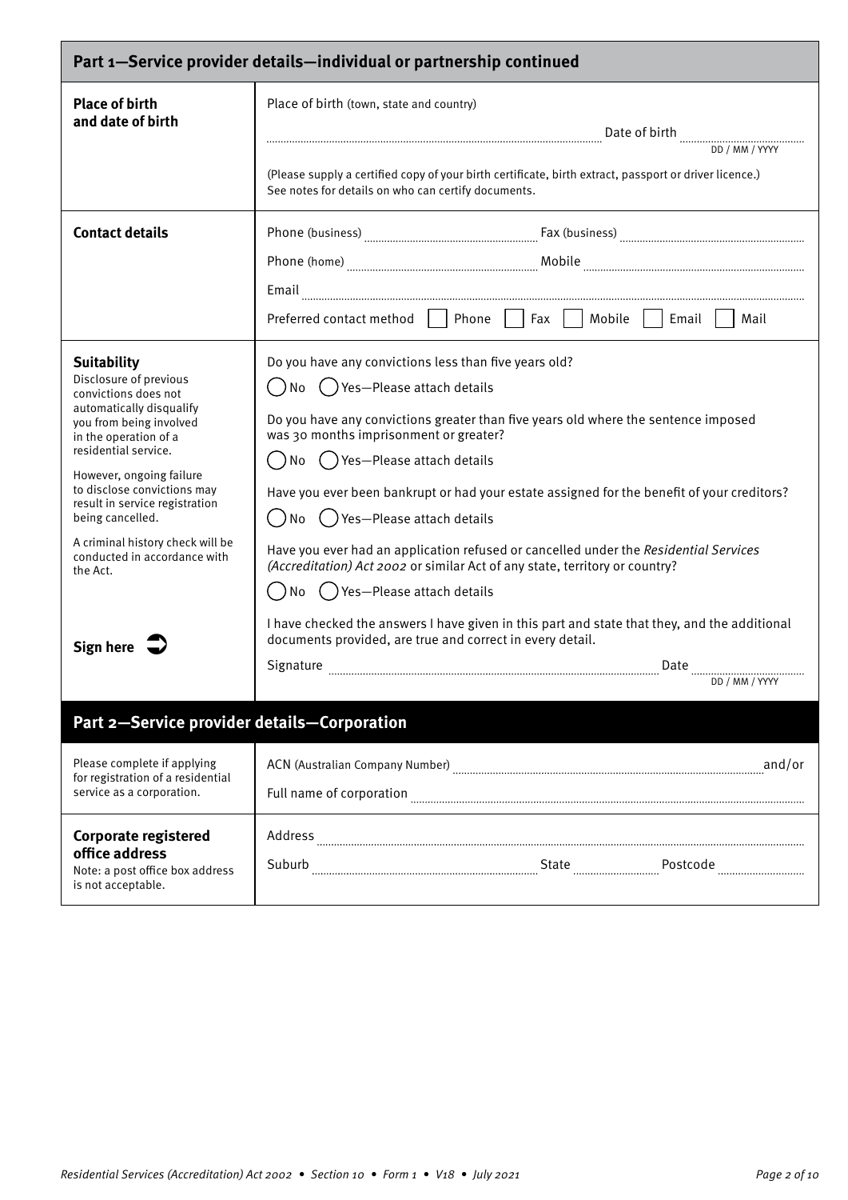| Part 1-Service provider details-individual or partnership continued                                                                                                                                                                                                                                                                                                                        |                                                                                                                                                                                                                                                                                                                                                                                                                                                                                                                                                                                                                                                                                                                                                                                                                      |
|--------------------------------------------------------------------------------------------------------------------------------------------------------------------------------------------------------------------------------------------------------------------------------------------------------------------------------------------------------------------------------------------|----------------------------------------------------------------------------------------------------------------------------------------------------------------------------------------------------------------------------------------------------------------------------------------------------------------------------------------------------------------------------------------------------------------------------------------------------------------------------------------------------------------------------------------------------------------------------------------------------------------------------------------------------------------------------------------------------------------------------------------------------------------------------------------------------------------------|
| <b>Place of birth</b><br>and date of birth                                                                                                                                                                                                                                                                                                                                                 | Place of birth (town, state and country)<br>(Please supply a certified copy of your birth certificate, birth extract, passport or driver licence.)<br>See notes for details on who can certify documents.                                                                                                                                                                                                                                                                                                                                                                                                                                                                                                                                                                                                            |
| <b>Contact details</b>                                                                                                                                                                                                                                                                                                                                                                     | $\textbf{Phone (home)} \textcolor{red}{}\textcolor{blue}{}\textcolor{blue}{}\textcolor{blue}{}\textcolor{blue}{}\textcolor{blue}{}\textcolor{blue}{}\textcolor{blue}{}\textcolor{blue}{}\textcolor{blue}{}\textcolor{blue}{}\textcolor{blue}{}\textcolor{blue}{}\textcolor{blue}{}\textcolor{blue}{}\textcolor{blue}{}\textcolor{blue}{}\textcolor{blue}{}\textcolor{blue}{}\textcolor{blue}{}\textcolor{blue}{}\textcolor{blue}{}\textcolor{blue}{}\textcolor{blue}{}\textcolor{blue}{}\textcolor{blue}{}\textcolor{blue}{}\textcolor{blue}{}\textcolor{blue}{}\textcolor{blue}{}\textcolor{blue}{}\textcolor{blue}{}\textcolor{blue}{}\textcolor{blue}{}\textcolor{blue}{}\text$<br>Email<br>Preferred contact method     Phone     Fax     Mobile     Email  <br>Mail                                             |
| <b>Suitability</b><br>Disclosure of previous<br>convictions does not<br>automatically disqualify<br>you from being involved<br>in the operation of a<br>residential service.<br>However, ongoing failure<br>to disclose convictions may<br>result in service registration<br>being cancelled.<br>A criminal history check will be<br>conducted in accordance with<br>the Act.<br>Sign here | Do you have any convictions less than five years old?<br>()No ()Yes-Please attach details<br>Do you have any convictions greater than five years old where the sentence imposed<br>was 30 months imprisonment or greater?<br>No () Yes—Please attach details<br>Have you ever been bankrupt or had your estate assigned for the benefit of your creditors?<br>◯ ) No ( )Yes—Please attach details<br>Have you ever had an application refused or cancelled under the Residential Services<br>(Accreditation) Act 2002 or similar Act of any state, territory or country?<br>( ) No ( ) Yes—Please attach details<br>I have checked the answers I have given in this part and state that they, and the additional<br>documents provided, are true and correct in every detail.<br>Signature<br>Date<br>DD / MM / YYYY |
| Part 2-Service provider details-Corporation                                                                                                                                                                                                                                                                                                                                                |                                                                                                                                                                                                                                                                                                                                                                                                                                                                                                                                                                                                                                                                                                                                                                                                                      |
| Please complete if applying<br>for registration of a residential<br>service as a corporation.                                                                                                                                                                                                                                                                                              | ACN (Australian Company Number) [11] and/or match of the and/or                                                                                                                                                                                                                                                                                                                                                                                                                                                                                                                                                                                                                                                                                                                                                      |
| <b>Corporate registered</b><br>office address<br>Note: a post office box address<br>is not acceptable.                                                                                                                                                                                                                                                                                     |                                                                                                                                                                                                                                                                                                                                                                                                                                                                                                                                                                                                                                                                                                                                                                                                                      |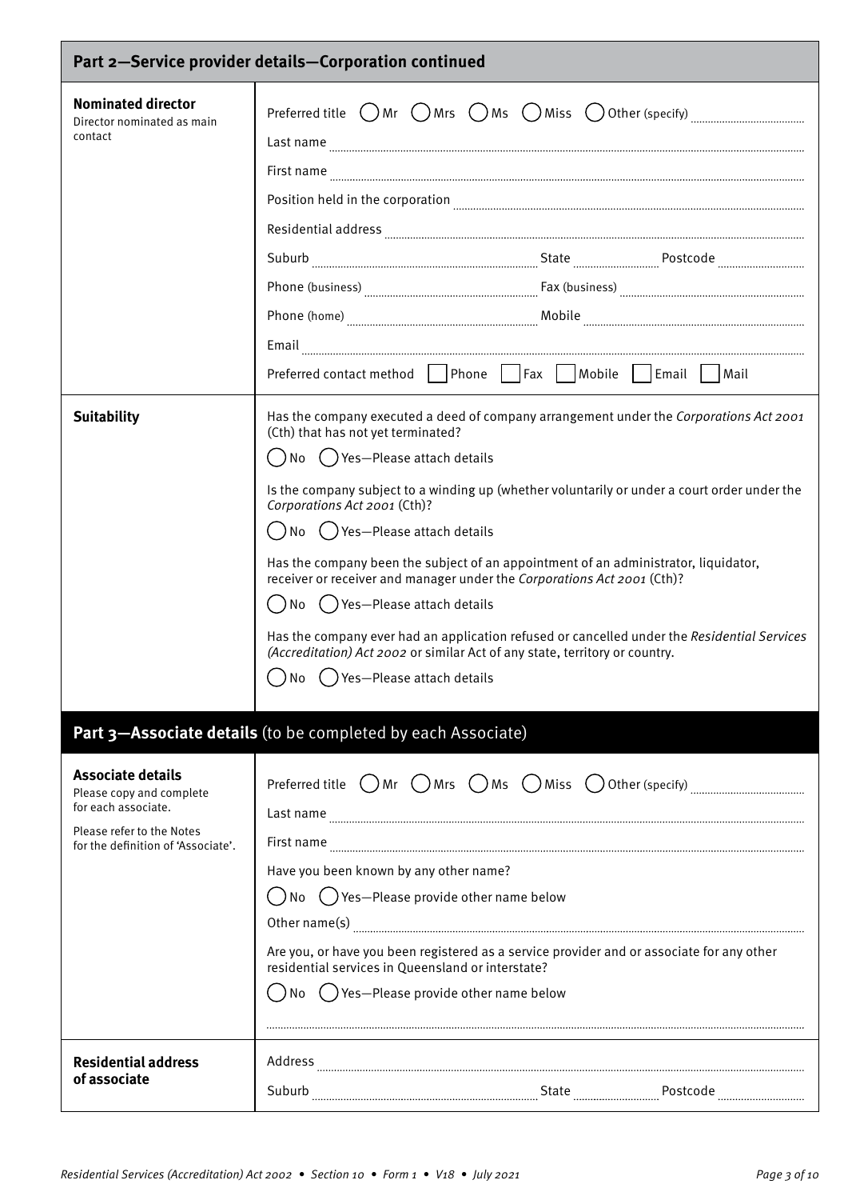| Part 2-Service provider details-Corporation continued                                                                                          |                                                                                                                                                                                                                                                                                                                                                                                                                                                                                                                                                                                                                                                                                                                                                                                                                                                                                                                                                                                                                                                  |
|------------------------------------------------------------------------------------------------------------------------------------------------|--------------------------------------------------------------------------------------------------------------------------------------------------------------------------------------------------------------------------------------------------------------------------------------------------------------------------------------------------------------------------------------------------------------------------------------------------------------------------------------------------------------------------------------------------------------------------------------------------------------------------------------------------------------------------------------------------------------------------------------------------------------------------------------------------------------------------------------------------------------------------------------------------------------------------------------------------------------------------------------------------------------------------------------------------|
| <b>Nominated director</b><br>Director nominated as main<br>contact                                                                             | Preferred title $\bigcirc$ Mr $\bigcirc$ Mrs $\bigcirc$ Ms $\bigcirc$ Miss $\bigcirc$ Other (specify) $\ldots$ $\ldots$ $\ldots$ $\ldots$ $\ldots$<br>$\textbf{Residential address} \label{def:residual} \begin{minipage}[c]{0.9\linewidth} \textbf{Residential address} \end{minipage}$<br>$\textbf{Phone (home)} \textcolor{red}{}\textcolor{blue}{}\textcolor{blue}{}\textcolor{blue}{}\textcolor{blue}{}\textcolor{blue}{}\textcolor{blue}{}\textcolor{blue}{}\textcolor{blue}{}\textcolor{blue}{}\textcolor{blue}{}\textcolor{blue}{}\textcolor{blue}{}\textcolor{blue}{}\textcolor{blue}{}\textcolor{blue}{}\textcolor{blue}{}\textcolor{blue}{}\textcolor{blue}{}\textcolor{blue}{}\textcolor{blue}{}\textcolor{blue}{}\textcolor{blue}{}\textcolor{blue}{}\textcolor{blue}{}\textcolor{blue}{}\textcolor{blue}{}\textcolor{blue}{}\textcolor{blue}{}\textcolor{blue}{}\textcolor{blue}{}\textcolor{blue}{}\textcolor{blue}{}\textcolor{blue}{}\textcolor{blue}{}\text$<br>Preferred contact method   Phone   Fax   Mobile   Email   Mail |
| <b>Suitability</b>                                                                                                                             | Has the company executed a deed of company arrangement under the Corporations Act 2001<br>(Cth) that has not yet terminated?<br>( ) No ( )Yes—Please attach details<br>Is the company subject to a winding up (whether voluntarily or under a court order under the<br>Corporations Act 2001 (Cth)?<br>()No ()Yes-Please attach details<br>Has the company been the subject of an appointment of an administrator, liquidator,<br>receiver or receiver and manager under the Corporations Act 2001 (Cth)?<br>()No ()Yes-Please attach details<br>Has the company ever had an application refused or cancelled under the Residential Services<br>(Accreditation) Act 2002 or similar Act of any state, territory or country.<br>No () Yes—Please attach details                                                                                                                                                                                                                                                                                   |
|                                                                                                                                                | Part 3-Associate details (to be completed by each Associate)                                                                                                                                                                                                                                                                                                                                                                                                                                                                                                                                                                                                                                                                                                                                                                                                                                                                                                                                                                                     |
| <b>Associate details</b><br>Please copy and complete<br>for each associate.<br>Please refer to the Notes<br>for the definition of 'Associate'. | Preferred title $\bigcirc$ Mr $\bigcirc$ Mrs $\bigcirc$ Ms $\bigcirc$ Miss $\bigcirc$ Other (specify) $\ldots$<br>Last name<br>Have you been known by any other name?<br>$($ ) No $($ ) Yes-Please provide other name below<br>Are you, or have you been registered as a service provider and or associate for any other<br>residential services in Queensland or interstate?<br>( ) No ( ) Yes—Please provide other name below                                                                                                                                                                                                                                                                                                                                                                                                                                                                                                                                                                                                                  |
| <b>Residential address</b><br>of associate                                                                                                     |                                                                                                                                                                                                                                                                                                                                                                                                                                                                                                                                                                                                                                                                                                                                                                                                                                                                                                                                                                                                                                                  |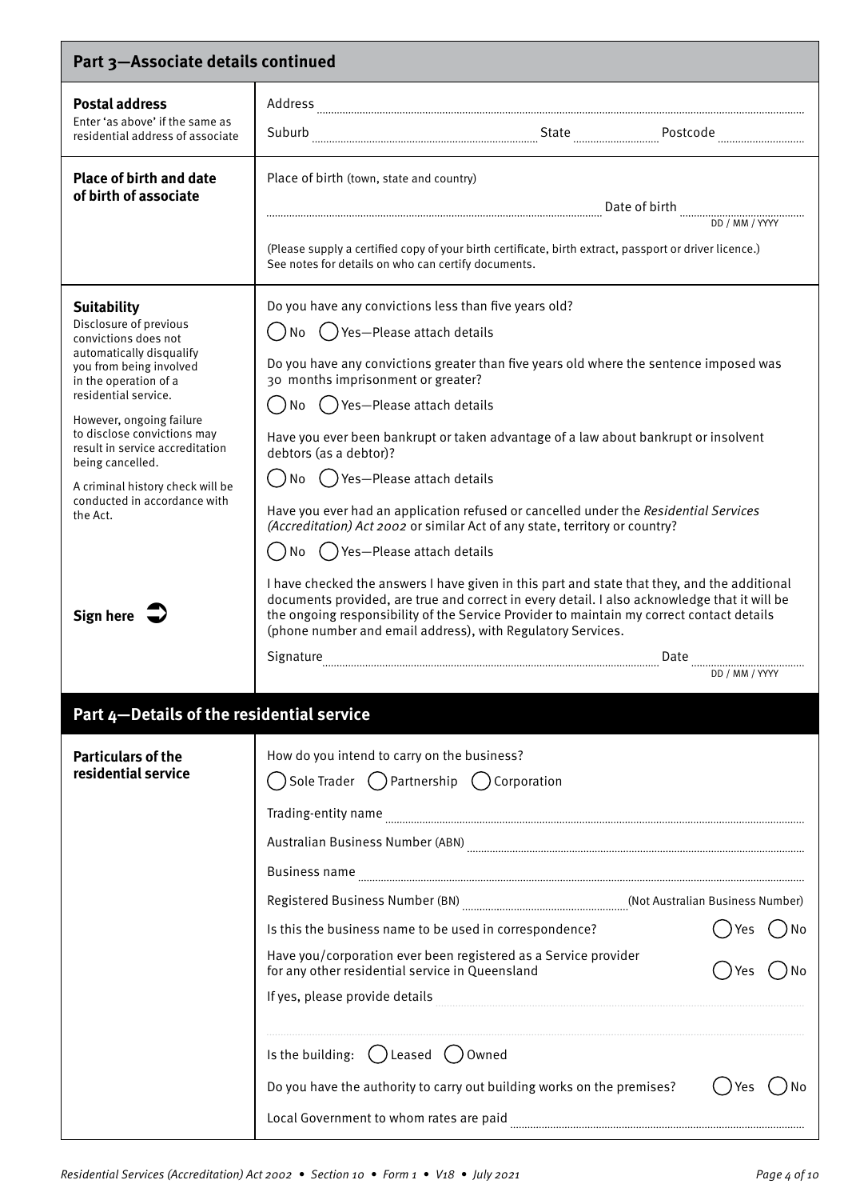| Part 3-Associate details continued                                                                                                                                                                                                                                                                                                                                                                 |                                                                                                                                                                                                                                                                                                                                                                                                                                                                                                                                                                                                                                                                                                                                                                                                                                                                                                                                                                                                         |
|----------------------------------------------------------------------------------------------------------------------------------------------------------------------------------------------------------------------------------------------------------------------------------------------------------------------------------------------------------------------------------------------------|---------------------------------------------------------------------------------------------------------------------------------------------------------------------------------------------------------------------------------------------------------------------------------------------------------------------------------------------------------------------------------------------------------------------------------------------------------------------------------------------------------------------------------------------------------------------------------------------------------------------------------------------------------------------------------------------------------------------------------------------------------------------------------------------------------------------------------------------------------------------------------------------------------------------------------------------------------------------------------------------------------|
| <b>Postal address</b><br>Enter 'as above' if the same as<br>residential address of associate                                                                                                                                                                                                                                                                                                       |                                                                                                                                                                                                                                                                                                                                                                                                                                                                                                                                                                                                                                                                                                                                                                                                                                                                                                                                                                                                         |
| <b>Place of birth and date</b><br>of birth of associate                                                                                                                                                                                                                                                                                                                                            | Place of birth (town, state and country)<br>(Please supply a certified copy of your birth certificate, birth extract, passport or driver licence.)<br>See notes for details on who can certify documents.                                                                                                                                                                                                                                                                                                                                                                                                                                                                                                                                                                                                                                                                                                                                                                                               |
| <b>Suitability</b><br>Disclosure of previous<br>convictions does not<br>automatically disqualify<br>you from being involved<br>in the operation of a<br>residential service.<br>However, ongoing failure<br>to disclose convictions may<br>result in service accreditation<br>being cancelled.<br>A criminal history check will be<br>conducted in accordance with<br>the Act.<br><b>Sign here</b> | Do you have any convictions less than five years old?<br>No () Yes—Please attach details<br>Do you have any convictions greater than five years old where the sentence imposed was<br>30 months imprisonment or greater?<br>No () Yes-Please attach details<br>Have you ever been bankrupt or taken advantage of a law about bankrupt or insolvent<br>debtors (as a debtor)?<br>No () Yes-Please attach details<br>Have you ever had an application refused or cancelled under the Residential Services<br>(Accreditation) Act 2002 or similar Act of any state, territory or country?<br>No () Yes-Please attach details<br>I have checked the answers I have given in this part and state that they, and the additional<br>documents provided, are true and correct in every detail. I also acknowledge that it will be<br>the ongoing responsibility of the Service Provider to maintain my correct contact details<br>(phone number and email address), with Regulatory Services.<br>DD / MM / YYYY |
| Part 4-Details of the residential service                                                                                                                                                                                                                                                                                                                                                          |                                                                                                                                                                                                                                                                                                                                                                                                                                                                                                                                                                                                                                                                                                                                                                                                                                                                                                                                                                                                         |
| <b>Particulars of the</b><br>residential service                                                                                                                                                                                                                                                                                                                                                   | How do you intend to carry on the business?<br>Sole Trader ( ) Partnership ( ) Corporation<br>Registered Business Number (BN) [67] [81] Manness Number (BN) [67] Manness Number (BN) [76] Manness Number (BN<br>Is this the business name to be used in correspondence?<br>Have you/corporation ever been registered as a Service provider<br>for any other residential service in Queensland<br>If yes, please provide details<br>Is the building: $($ ) Leased $($ )<br>Owned<br>Do you have the authority to carry out building works on the premises?<br>Yes                                                                                                                                                                                                                                                                                                                                                                                                                                        |
|                                                                                                                                                                                                                                                                                                                                                                                                    | Local Government to whom rates are paid                                                                                                                                                                                                                                                                                                                                                                                                                                                                                                                                                                                                                                                                                                                                                                                                                                                                                                                                                                 |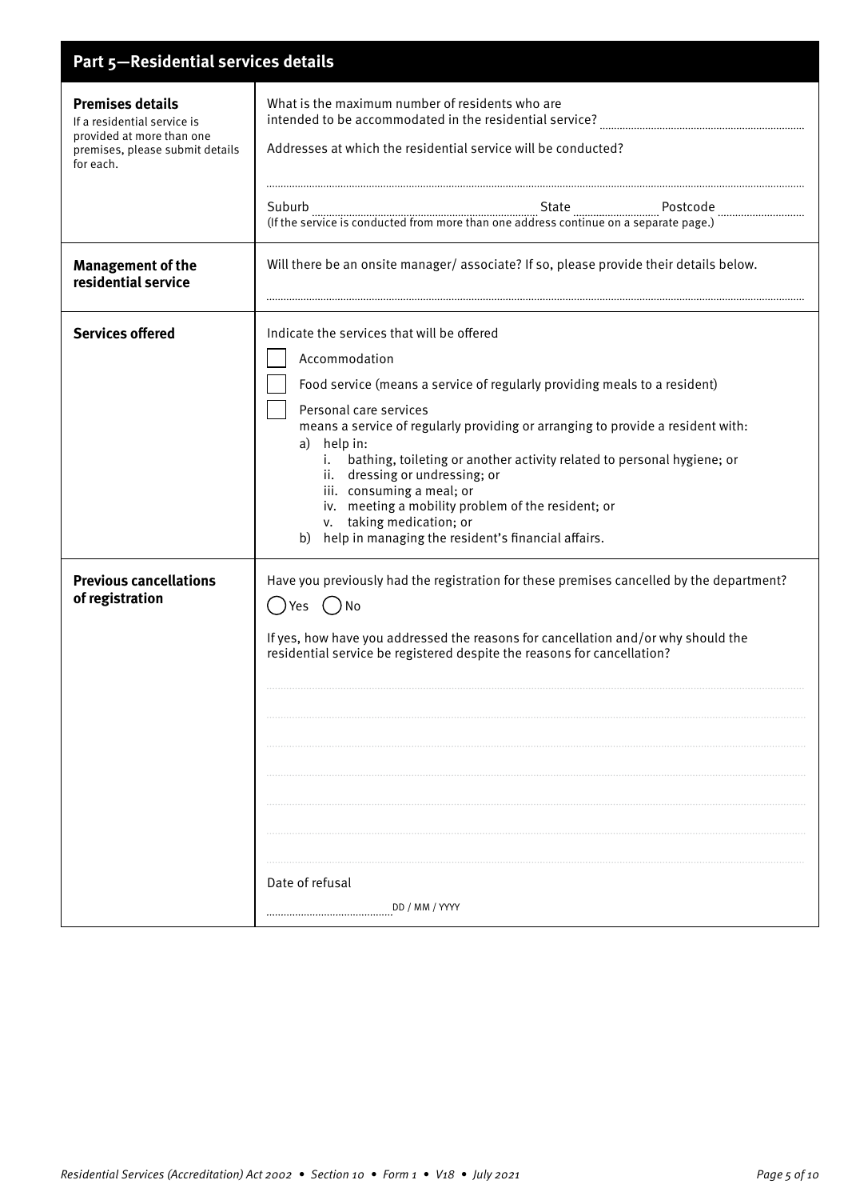| Part 5-Residential services details                                                                                                 |                                                                                                                                                                                                                                                                                                                                                                                                                                                                                                                                                                |
|-------------------------------------------------------------------------------------------------------------------------------------|----------------------------------------------------------------------------------------------------------------------------------------------------------------------------------------------------------------------------------------------------------------------------------------------------------------------------------------------------------------------------------------------------------------------------------------------------------------------------------------------------------------------------------------------------------------|
| <b>Premises details</b><br>If a residential service is<br>provided at more than one<br>premises, please submit details<br>for each. | What is the maximum number of residents who are<br>intended to be accommodated in the residential service?<br>Addresses at which the residential service will be conducted?                                                                                                                                                                                                                                                                                                                                                                                    |
|                                                                                                                                     |                                                                                                                                                                                                                                                                                                                                                                                                                                                                                                                                                                |
| <b>Management of the</b><br>residential service                                                                                     | Will there be an onsite manager/ associate? If so, please provide their details below.                                                                                                                                                                                                                                                                                                                                                                                                                                                                         |
| <b>Services offered</b>                                                                                                             | Indicate the services that will be offered<br>Accommodation<br>Food service (means a service of regularly providing meals to a resident)<br>Personal care services<br>means a service of regularly providing or arranging to provide a resident with:<br>a) help in:<br>i. bathing, toileting or another activity related to personal hygiene; or<br>ii. dressing or undressing; or<br>iii. consuming a meal; or<br>iv. meeting a mobility problem of the resident; or<br>v. taking medication; or<br>help in managing the resident's financial affairs.<br>b) |
| <b>Previous cancellations</b><br>of registration                                                                                    | Have you previously had the registration for these premises cancelled by the department?<br>()Yes<br>$( )$ No<br>If yes, how have you addressed the reasons for cancellation and/or why should the<br>residential service be registered despite the reasons for cancellation?<br>Date of refusal<br>DD / MM / YYYY                                                                                                                                                                                                                                             |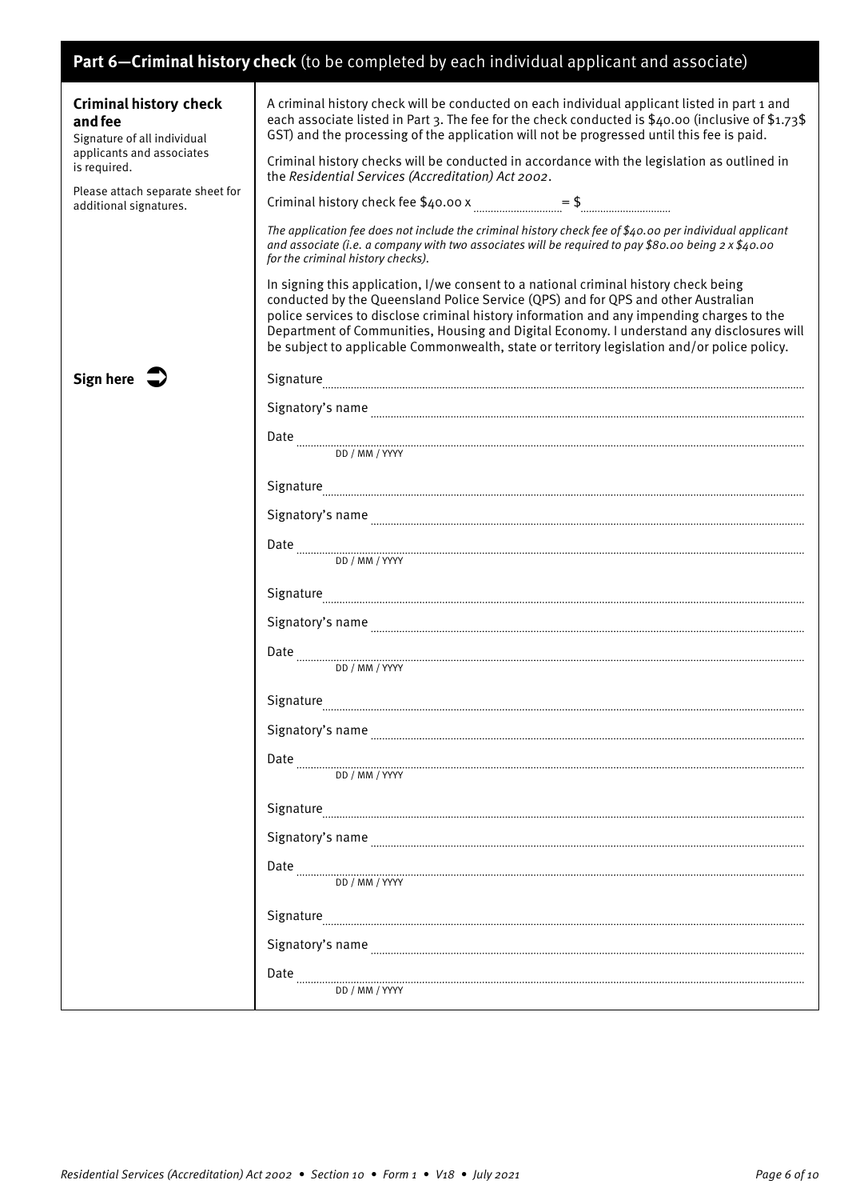## **Part 6—Criminal history check** (to be completed by each individual applicant and associate)

| <b>Criminal history check</b><br>and fee<br>Signature of all individual<br>applicants and associates<br>is required.<br>Please attach separate sheet for<br>additional signatures. | A criminal history check will be conducted on each individual applicant listed in part 1 and<br>each associate listed in Part 3. The fee for the check conducted is \$40.00 (inclusive of \$1.73\$<br>GST) and the processing of the application will not be progressed until this fee is paid.<br>Criminal history checks will be conducted in accordance with the legislation as outlined in<br>the Residential Services (Accreditation) Act 2002.<br>The application fee does not include the criminal history check fee of \$40.00 per individual applicant<br>and associate (i.e. a company with two associates will be required to pay \$80.00 being $2 \times $40.00$<br>for the criminal history checks).<br>In signing this application, I/we consent to a national criminal history check being |
|------------------------------------------------------------------------------------------------------------------------------------------------------------------------------------|-----------------------------------------------------------------------------------------------------------------------------------------------------------------------------------------------------------------------------------------------------------------------------------------------------------------------------------------------------------------------------------------------------------------------------------------------------------------------------------------------------------------------------------------------------------------------------------------------------------------------------------------------------------------------------------------------------------------------------------------------------------------------------------------------------------|
|                                                                                                                                                                                    | conducted by the Queensland Police Service (QPS) and for QPS and other Australian<br>police services to disclose criminal history information and any impending charges to the<br>Department of Communities, Housing and Digital Economy. I understand any disclosures will<br>be subject to applicable Commonwealth, state or territory legislation and/or police policy.                                                                                                                                                                                                                                                                                                                                                                                                                                |
| Sign here                                                                                                                                                                          | ${\Large Signature}\footnotesize\centering \label{prop:main}$                                                                                                                                                                                                                                                                                                                                                                                                                                                                                                                                                                                                                                                                                                                                             |
|                                                                                                                                                                                    |                                                                                                                                                                                                                                                                                                                                                                                                                                                                                                                                                                                                                                                                                                                                                                                                           |
|                                                                                                                                                                                    | $\begin{minipage}{.45\textwidth} \begin{tabular}{@{}c@{}} \textbf{Date} & \textbf{0} & \textbf{0} & \textbf{0} & \textbf{0} & \textbf{0} & \textbf{0} & \textbf{0} & \textbf{0} & \textbf{0} & \textbf{0} & \textbf{0} & \textbf{0} & \textbf{0} & \textbf{0} & \textbf{0} & \textbf{0} & \textbf{0} & \textbf{0} & \textbf{0} & \textbf{0} & \textbf{0} & \textbf{0} & \textbf{0} & \textbf{0} & \textbf{0} & \textbf{0} & \textbf{0$                                                                                                                                                                                                                                                                                                                                                                    |
|                                                                                                                                                                                    |                                                                                                                                                                                                                                                                                                                                                                                                                                                                                                                                                                                                                                                                                                                                                                                                           |
|                                                                                                                                                                                    | ${\Large Signature} \label{prop:main}$                                                                                                                                                                                                                                                                                                                                                                                                                                                                                                                                                                                                                                                                                                                                                                    |
|                                                                                                                                                                                    |                                                                                                                                                                                                                                                                                                                                                                                                                                                                                                                                                                                                                                                                                                                                                                                                           |
|                                                                                                                                                                                    | DD / MM / YYYY                                                                                                                                                                                                                                                                                                                                                                                                                                                                                                                                                                                                                                                                                                                                                                                            |
|                                                                                                                                                                                    | ${\Large Signature} \overbrace{\hspace{1.5cm} \textbf{Signature} \overbrace{\hspace{1.5cm} \textbf{Sing} \hspace{1.5cm} \textbf{Sing} \hspace{1.5cm} \textbf{Sing} \hspace{1.5cm} \textbf{Sing} \hspace{1.5cm} \textbf{Sing} \hspace{1.5cm} \textbf{Sing} \hspace{1.5cm} \textbf{Sing} \hspace{1.5cm} \textbf{Sing} \hspace{1.5cm} \textbf{Sing} \hspace{1.5cm} \textbf{Sing} \hspace{1.5cm} \textbf{Sing} \hspace{1.5cm} \textbf{Sing}$                                                                                                                                                                                                                                                                                                                                                                  |
|                                                                                                                                                                                    | ${\it Signatory's name} \label{def:signatory's name} \begin{minipage}[c]{0.9\linewidth} \centering \begin{minipage}[c]{0.9\linewidth} \centering \end{minipage} \begin{minipage}[c]{0.9\linewidth} \centering \begin{minipage}[c]{0.9\linewidth} \centering \end{minipage} \begin{minipage}[c]{0.9\linewidth} \centering \end{minipage} \begin{minipage}[c]{0.9\linewidth} \centering \end{minipage} \begin{minipage}[c]{0.9\linewidth} \centering \end{minipage} \begin{minipage}[c]{0.9\linewidth} \centering \end{minipage} \begin{minipage}[c]{0.9\linewidth} \center$                                                                                                                                                                                                                                |
|                                                                                                                                                                                    | $\text{Date} \begin{minipage}{0.5\textwidth} \centering \begin{tabular}{p{0.8cm}p{0.8cm}p{0.8cm}p{0.8cm}p{0.8cm}p{0.8cm}p{0.8cm}p{0.8cm}p{0.8cm}p{0.8cm}p{0.8cm}p{0.8cm}p{0.8cm}p{0.8cm}p{0.8cm}p{0.8cm}p{0.8cm}p{0.8cm}p{0.8cm}p{0.8cm}p{0.8cm}p{0.8cm}p{0.8cm}p{0.8cm}p{0.8cm}p{0.8cm}p{0.8cm}p{0$                                                                                                                                                                                                                                                                                                                                                                                                                                                                                                      |
|                                                                                                                                                                                    |                                                                                                                                                                                                                                                                                                                                                                                                                                                                                                                                                                                                                                                                                                                                                                                                           |
|                                                                                                                                                                                    | Signatory's name                                                                                                                                                                                                                                                                                                                                                                                                                                                                                                                                                                                                                                                                                                                                                                                          |
|                                                                                                                                                                                    | Date<br>DD / MM / YYYY                                                                                                                                                                                                                                                                                                                                                                                                                                                                                                                                                                                                                                                                                                                                                                                    |
|                                                                                                                                                                                    | Signature                                                                                                                                                                                                                                                                                                                                                                                                                                                                                                                                                                                                                                                                                                                                                                                                 |
|                                                                                                                                                                                    | Signatory's name                                                                                                                                                                                                                                                                                                                                                                                                                                                                                                                                                                                                                                                                                                                                                                                          |
|                                                                                                                                                                                    | DD / MM / YYYY                                                                                                                                                                                                                                                                                                                                                                                                                                                                                                                                                                                                                                                                                                                                                                                            |
|                                                                                                                                                                                    | Signature                                                                                                                                                                                                                                                                                                                                                                                                                                                                                                                                                                                                                                                                                                                                                                                                 |
|                                                                                                                                                                                    | Signatory's name                                                                                                                                                                                                                                                                                                                                                                                                                                                                                                                                                                                                                                                                                                                                                                                          |
|                                                                                                                                                                                    | Date<br>DD / MM / YYYY                                                                                                                                                                                                                                                                                                                                                                                                                                                                                                                                                                                                                                                                                                                                                                                    |
|                                                                                                                                                                                    |                                                                                                                                                                                                                                                                                                                                                                                                                                                                                                                                                                                                                                                                                                                                                                                                           |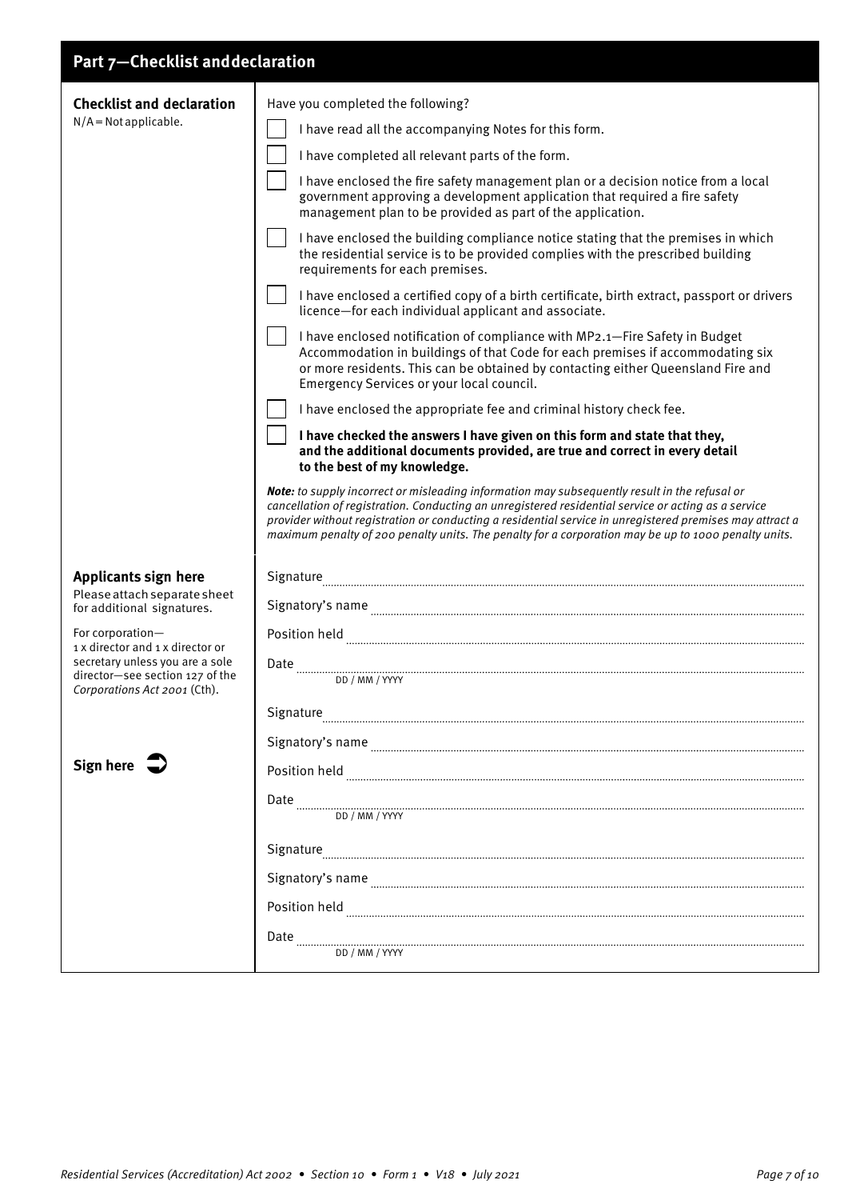## **Part 7—Checklist and declaration**

| <b>Checklist and declaration</b>                                                                   | Have you completed the following?                                                                                                                                                                                                                                                                                                                                                                                                                                      |
|----------------------------------------------------------------------------------------------------|------------------------------------------------------------------------------------------------------------------------------------------------------------------------------------------------------------------------------------------------------------------------------------------------------------------------------------------------------------------------------------------------------------------------------------------------------------------------|
| $N/A = Not applicable.$                                                                            | I have read all the accompanying Notes for this form.                                                                                                                                                                                                                                                                                                                                                                                                                  |
|                                                                                                    | I have completed all relevant parts of the form.                                                                                                                                                                                                                                                                                                                                                                                                                       |
|                                                                                                    | I have enclosed the fire safety management plan or a decision notice from a local<br>government approving a development application that required a fire safety<br>management plan to be provided as part of the application.                                                                                                                                                                                                                                          |
|                                                                                                    | I have enclosed the building compliance notice stating that the premises in which<br>the residential service is to be provided complies with the prescribed building<br>requirements for each premises.                                                                                                                                                                                                                                                                |
|                                                                                                    | I have enclosed a certified copy of a birth certificate, birth extract, passport or drivers<br>licence-for each individual applicant and associate.                                                                                                                                                                                                                                                                                                                    |
|                                                                                                    | I have enclosed notification of compliance with MP2.1-Fire Safety in Budget<br>Accommodation in buildings of that Code for each premises if accommodating six<br>or more residents. This can be obtained by contacting either Queensland Fire and<br>Emergency Services or your local council.                                                                                                                                                                         |
|                                                                                                    | I have enclosed the appropriate fee and criminal history check fee.                                                                                                                                                                                                                                                                                                                                                                                                    |
|                                                                                                    | I have checked the answers I have given on this form and state that they,<br>and the additional documents provided, are true and correct in every detail<br>to the best of my knowledge.                                                                                                                                                                                                                                                                               |
|                                                                                                    | Note: to supply incorrect or misleading information may subsequently result in the refusal or<br>cancellation of registration. Conducting an unregistered residential service or acting as a service<br>provider without registration or conducting a residential service in unregistered premises may attract a<br>maximum penalty of 200 penalty units. The penalty for a corporation may be up to 1000 penalty units.                                               |
| <b>Applicants sign here</b>                                                                        | Signature                                                                                                                                                                                                                                                                                                                                                                                                                                                              |
| Please attach separate sheet<br>for additional signatures.                                         |                                                                                                                                                                                                                                                                                                                                                                                                                                                                        |
| For corporation-<br>1 x director and 1 x director or                                               | Position held www.communication.com/www.communication.com/www.communication.com/www.com/www.com/www.com/www.com/                                                                                                                                                                                                                                                                                                                                                       |
| secretary unless you are a sole<br>director-see section 127 of the<br>Corporations Act 2001 (Cth). | Date<br>DD / MM / YYYY                                                                                                                                                                                                                                                                                                                                                                                                                                                 |
|                                                                                                    | Signature                                                                                                                                                                                                                                                                                                                                                                                                                                                              |
|                                                                                                    |                                                                                                                                                                                                                                                                                                                                                                                                                                                                        |
| Sign here $\sqrt{ }$                                                                               | Position held www.communication.com/news/communication.com/news/communication.com/news/communication.com/news/                                                                                                                                                                                                                                                                                                                                                         |
|                                                                                                    | Date<br>DD / MM / YYYY                                                                                                                                                                                                                                                                                                                                                                                                                                                 |
|                                                                                                    | Signature                                                                                                                                                                                                                                                                                                                                                                                                                                                              |
|                                                                                                    |                                                                                                                                                                                                                                                                                                                                                                                                                                                                        |
|                                                                                                    | $\begin{minipage}[c]{0.9\linewidth} \textbf{Position held} \end{minipage} \vspace{0.05in} \begin{minipage}[c]{0.9\linewidth} \textbf{Position held} \end{minipage} \vspace{0.05in} \begin{minipage}[c]{0.9\linewidth} \textbf{Positive} \end{minipage} \vspace{0.05in} \begin{minipage}[c]{0.9\linewidth} \textbf{F3} & \textbf{F4} & \textbf{F8} & \textbf{F9} & \textbf{F9} & \textbf{F9} & \textbf{F9} & \textbf{F9} & \textbf{F9} & \textbf{F9} & \textbf{F9} & \$ |
|                                                                                                    | Date<br>DD / MM / YYYY                                                                                                                                                                                                                                                                                                                                                                                                                                                 |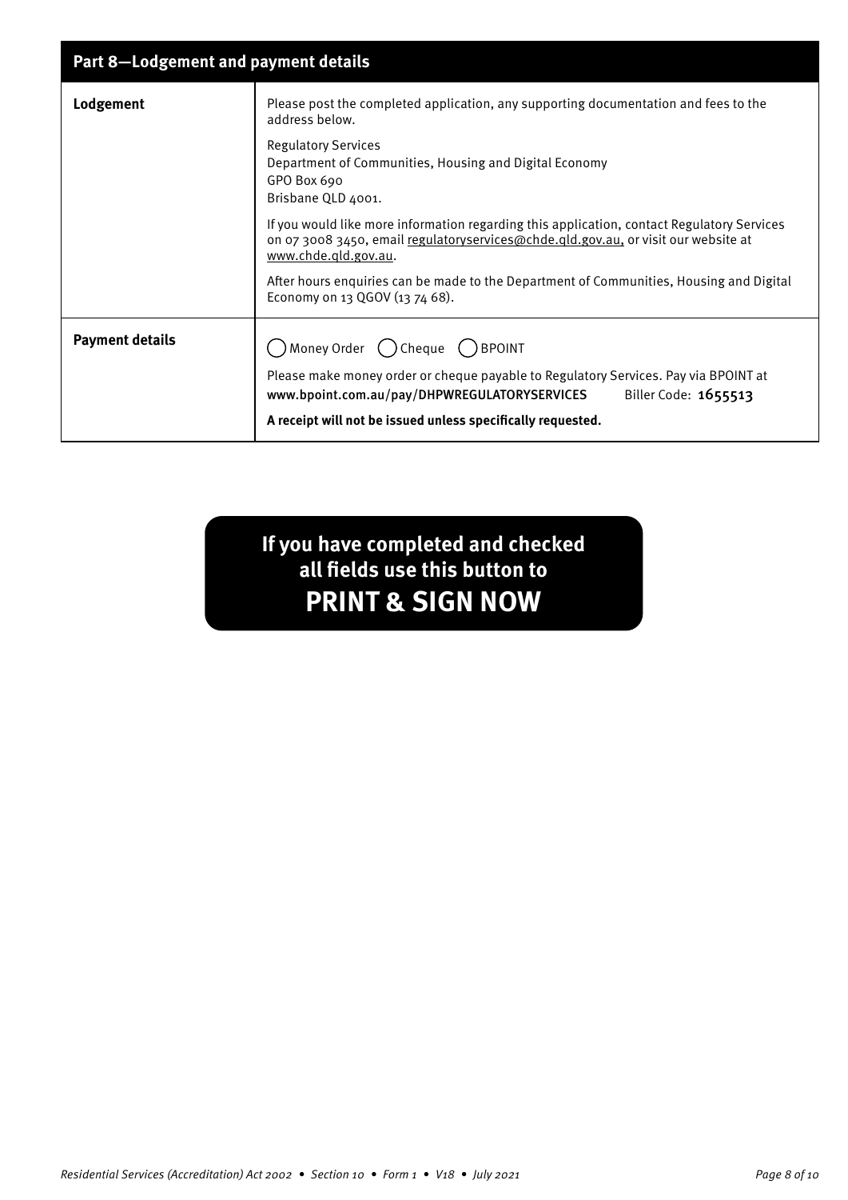| <b>Part 8-Lodgement and payment details</b>                                                                                                                                                                                |  |
|----------------------------------------------------------------------------------------------------------------------------------------------------------------------------------------------------------------------------|--|
| Please post the completed application, any supporting documentation and fees to the<br>address below.                                                                                                                      |  |
| <b>Regulatory Services</b><br>Department of Communities, Housing and Digital Economy<br>GPO Box 690<br>Brisbane QLD 4001.                                                                                                  |  |
| If you would like more information regarding this application, contact Regulatory Services<br>on 07 3008 3450, email regulatoryservices@chde.gld.gov.au, or visit our website at<br>www.chde.gld.gov.au.                   |  |
| After hours enquiries can be made to the Department of Communities, Housing and Digital<br>Economy on 13 QGOV (13 74 68).                                                                                                  |  |
| $)$ Money Order $\bigcap$ Cheque $\bigcap$ BPOINT                                                                                                                                                                          |  |
| Please make money order or cheque payable to Regulatory Services. Pay via BPOINT at<br>Biller Code: 1655513<br>www.bpoint.com.au/pay/DHPWREGULATORYSERVICES<br>A receipt will not be issued unless specifically requested. |  |
|                                                                                                                                                                                                                            |  |

**If you have completed and checked all fields use this button to PRINT & SIGN NOW**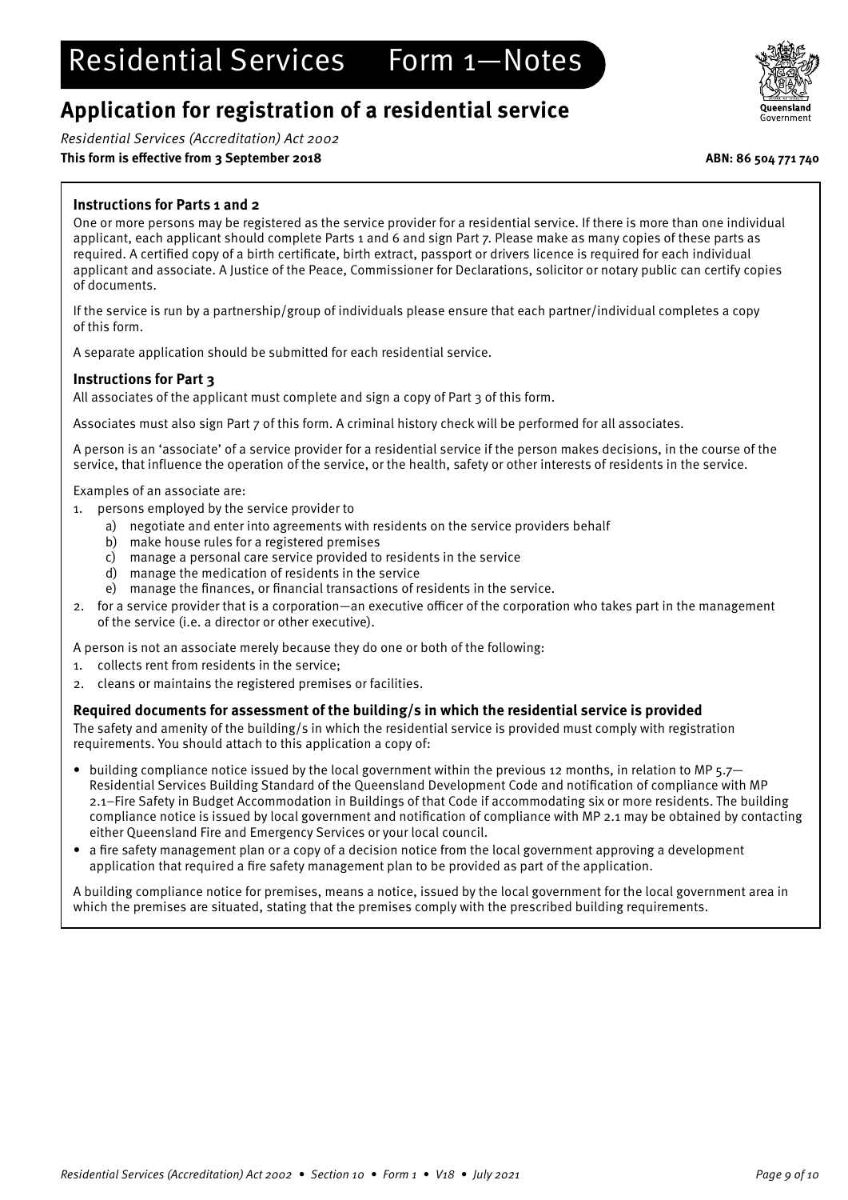# Residential Services Form 1—Notes

## **Application for registration of a residential service**

Residential Services (Accreditation) Act 2002

## **This form is effective from 3 September 2018 ABN: 86 504 771 740**

## **Instructions for Parts 1 and 2**

One or more persons may be registered as the service provider for a residential service. If there is more than one individual applicant, each applicant should complete Parts 1 and 6 and sign Part 7. Please make as many copies of these parts as required. A certified copy of a birth certificate, birth extract, passport or drivers licence is required for each individual applicant and associate. A Justice of the Peace, Commissioner for Declarations, solicitor or notary public can certify copies of documents.

If the service is run by a partnership/group of individuals please ensure that each partner/individual completes a copy of this form.

A separate application should be submitted for each residential service.

## **Instructions for Part 3**

All associates of the applicant must complete and sign a copy of Part 3 of this form.

Associates must also sign Part 7 of this form. A criminal history check will be performed for all associates.

A person is an 'associate' of a service provider for a residential service if the person makes decisions, in the course of the service, that influence the operation of the service, or the health, safety or other interests of residents in the service.

Examples of an associate are:

- 1. persons employed by the service provider to
	- a) negotiate and enter into agreements with residents on the service providers behalf
	- b) make house rules for a registered premises
	- c) manage a personal care service provided to residents in the service
	- d) manage the medication of residents in the service
	- e) manage the finances, or financial transactions of residents in the service.
- 2. for a service provider that is a corporation—an executive officer of the corporation who takes part in the management of the service (i.e. a director or other executive).
- A person is not an associate merely because they do one or both of the following:
- 1. collects rent from residents in the service;
- 2. cleans or maintains the registered premises or facilities.

## **Required documents for assessment of the building/s in which the residential service is provided**

The safety and amenity of the building/s in which the residential service is provided must comply with registration requirements. You should attach to this application a copy of:

- building compliance notice issued by the local government within the previous 12 months, in relation to MP 5.7– Residential Services Building Standard of the Queensland Development Code and notification of compliance with MP 2.1–Fire Safety in Budget Accommodation in Buildings of that Code if accommodating six or more residents. The building compliance notice is issued by local government and notification of compliance with MP 2.1 may be obtained by contacting either Queensland Fire and Emergency Services or your local council.
- a fire safety management plan or a copy of a decision notice from the local government approving a development application that required a fire safety management plan to be provided as part of the application.

A building compliance notice for premises, means a notice, issued by the local government for the local government area in which the premises are situated, stating that the premises comply with the prescribed building requirements.

![](_page_8_Picture_31.jpeg)